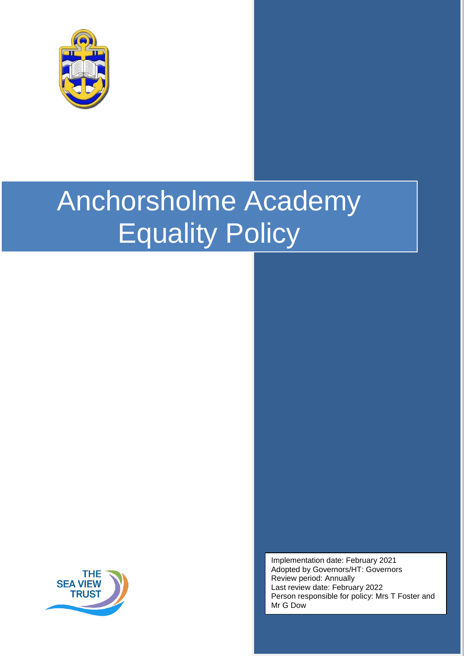

# Anchorsholme Academy Equality Policy



Implementation date: February 2021 Adopted by Governors/HT: Governors Review period: Annually Last review date: February 2022 Person responsible for policy: Mrs T Foster and Mr G Dow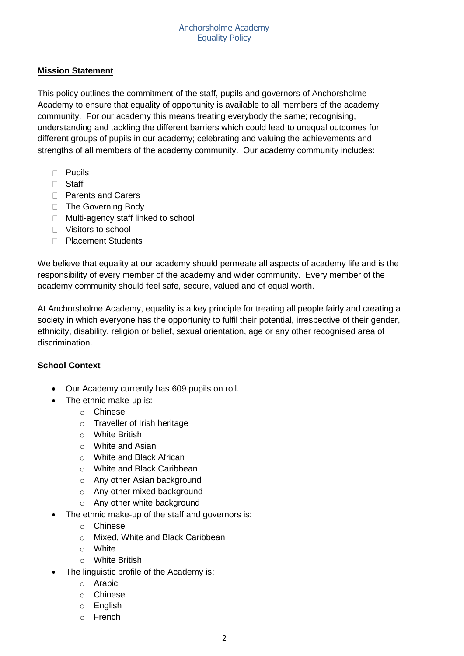# **Mission Statement**

This policy outlines the commitment of the staff, pupils and governors of Anchorsholme Academy to ensure that equality of opportunity is available to all members of the academy community. For our academy this means treating everybody the same; recognising, understanding and tackling the different barriers which could lead to unequal outcomes for different groups of pupils in our academy; celebrating and valuing the achievements and strengths of all members of the academy community. Our academy community includes:

- D Pupils
- □ Staff
- □ Parents and Carers
- □ The Governing Body
- □ Multi-agency staff linked to school
- □ Visitors to school
- D Placement Students

We believe that equality at our academy should permeate all aspects of academy life and is the responsibility of every member of the academy and wider community. Every member of the academy community should feel safe, secure, valued and of equal worth.

At Anchorsholme Academy, equality is a key principle for treating all people fairly and creating a society in which everyone has the opportunity to fulfil their potential, irrespective of their gender, ethnicity, disability, religion or belief, sexual orientation, age or any other recognised area of discrimination.

## **School Context**

- Our Academy currently has 609 pupils on roll.
- The ethnic make-up is:
	- o Chinese
	- o Traveller of Irish heritage
	- o White British
	- o White and Asian
	- o White and Black African
	- o White and Black Caribbean
	- o Any other Asian background
	- o Any other mixed background
	- o Any other white background
- The ethnic make-up of the staff and governors is:
	- o Chinese
	- o Mixed, White and Black Caribbean
	- o White
	- o White British
- The linguistic profile of the Academy is:
	- o Arabic
	- o Chinese
	- o English
	- o French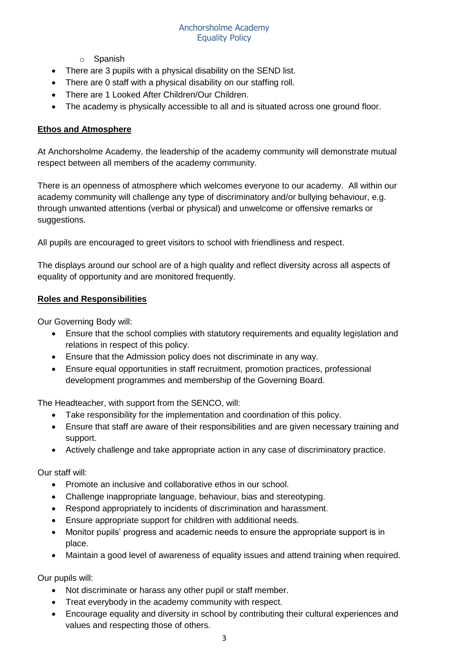- o Spanish
- There are 3 pupils with a physical disability on the SEND list.
- There are 0 staff with a physical disability on our staffing roll.
- There are 1 Looked After Children/Our Children.
- The academy is physically accessible to all and is situated across one ground floor.

## **Ethos and Atmosphere**

At Anchorsholme Academy, the leadership of the academy community will demonstrate mutual respect between all members of the academy community.

There is an openness of atmosphere which welcomes everyone to our academy. All within our academy community will challenge any type of discriminatory and/or bullying behaviour, e.g. through unwanted attentions (verbal or physical) and unwelcome or offensive remarks or suggestions.

All pupils are encouraged to greet visitors to school with friendliness and respect.

The displays around our school are of a high quality and reflect diversity across all aspects of equality of opportunity and are monitored frequently.

## **Roles and Responsibilities**

Our Governing Body will:

- Ensure that the school complies with statutory requirements and equality legislation and relations in respect of this policy.
- Ensure that the Admission policy does not discriminate in any way.
- Ensure equal opportunities in staff recruitment, promotion practices, professional development programmes and membership of the Governing Board.

The Headteacher, with support from the SENCO, will:

- Take responsibility for the implementation and coordination of this policy.
- Ensure that staff are aware of their responsibilities and are given necessary training and support.
- Actively challenge and take appropriate action in any case of discriminatory practice.

Our staff will:

- Promote an inclusive and collaborative ethos in our school.
- Challenge inappropriate language, behaviour, bias and stereotyping.
- Respond appropriately to incidents of discrimination and harassment.
- Ensure appropriate support for children with additional needs.
- Monitor pupils' progress and academic needs to ensure the appropriate support is in place.
- Maintain a good level of awareness of equality issues and attend training when required.

Our pupils will:

- Not discriminate or harass any other pupil or staff member.
- Treat everybody in the academy community with respect.
- Encourage equality and diversity in school by contributing their cultural experiences and values and respecting those of others.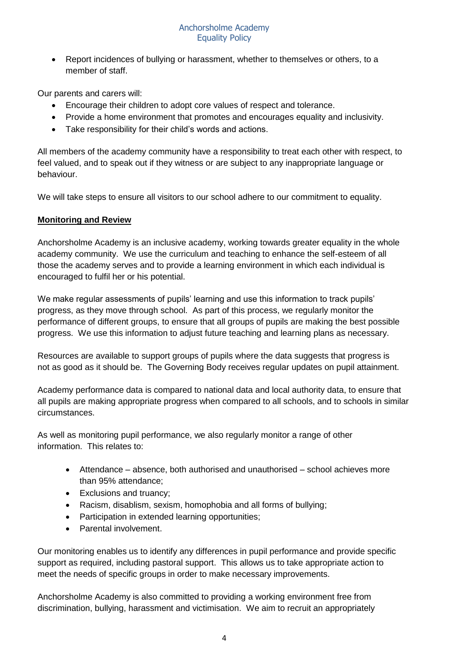• Report incidences of bullying or harassment, whether to themselves or others, to a member of staff.

Our parents and carers will:

- Encourage their children to adopt core values of respect and tolerance.
- Provide a home environment that promotes and encourages equality and inclusivity.
- Take responsibility for their child's words and actions.

All members of the academy community have a responsibility to treat each other with respect, to feel valued, and to speak out if they witness or are subject to any inappropriate language or behaviour.

We will take steps to ensure all visitors to our school adhere to our commitment to equality.

#### **Monitoring and Review**

Anchorsholme Academy is an inclusive academy, working towards greater equality in the whole academy community. We use the curriculum and teaching to enhance the self-esteem of all those the academy serves and to provide a learning environment in which each individual is encouraged to fulfil her or his potential.

We make regular assessments of pupils' learning and use this information to track pupils' progress, as they move through school. As part of this process, we regularly monitor the performance of different groups, to ensure that all groups of pupils are making the best possible progress. We use this information to adjust future teaching and learning plans as necessary.

Resources are available to support groups of pupils where the data suggests that progress is not as good as it should be. The Governing Body receives regular updates on pupil attainment.

Academy performance data is compared to national data and local authority data, to ensure that all pupils are making appropriate progress when compared to all schools, and to schools in similar circumstances.

As well as monitoring pupil performance, we also regularly monitor a range of other information. This relates to:

- Attendance absence, both authorised and unauthorised school achieves more than 95% attendance;
- Exclusions and truancy;
- Racism, disablism, sexism, homophobia and all forms of bullying;
- Participation in extended learning opportunities;
- Parental involvement.

Our monitoring enables us to identify any differences in pupil performance and provide specific support as required, including pastoral support. This allows us to take appropriate action to meet the needs of specific groups in order to make necessary improvements.

Anchorsholme Academy is also committed to providing a working environment free from discrimination, bullying, harassment and victimisation. We aim to recruit an appropriately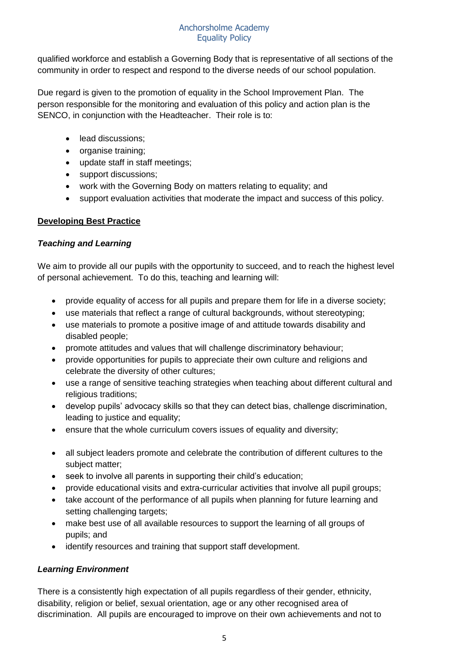#### Anchorsholme Academy Equality Policy

qualified workforce and establish a Governing Body that is representative of all sections of the community in order to respect and respond to the diverse needs of our school population.

Due regard is given to the promotion of equality in the School Improvement Plan. The person responsible for the monitoring and evaluation of this policy and action plan is the SENCO, in conjunction with the Headteacher. Their role is to:

- lead discussions;
- organise training;
- update staff in staff meetings;
- support discussions;
- work with the Governing Body on matters relating to equality; and
- support evaluation activities that moderate the impact and success of this policy.

# **Developing Best Practice**

## *Teaching and Learning*

We aim to provide all our pupils with the opportunity to succeed, and to reach the highest level of personal achievement. To do this, teaching and learning will:

- provide equality of access for all pupils and prepare them for life in a diverse society;
- use materials that reflect a range of cultural backgrounds, without stereotyping;
- use materials to promote a positive image of and attitude towards disability and disabled people;
- promote attitudes and values that will challenge discriminatory behaviour;
- provide opportunities for pupils to appreciate their own culture and religions and celebrate the diversity of other cultures;
- use a range of sensitive teaching strategies when teaching about different cultural and religious traditions;
- develop pupils' advocacy skills so that they can detect bias, challenge discrimination, leading to justice and equality;
- ensure that the whole curriculum covers issues of equality and diversity;
- all subject leaders promote and celebrate the contribution of different cultures to the subject matter;
- seek to involve all parents in supporting their child's education;
- provide educational visits and extra-curricular activities that involve all pupil groups;
- take account of the performance of all pupils when planning for future learning and setting challenging targets;
- make best use of all available resources to support the learning of all groups of pupils; and
- identify resources and training that support staff development.

## *Learning Environment*

There is a consistently high expectation of all pupils regardless of their gender, ethnicity, disability, religion or belief, sexual orientation, age or any other recognised area of discrimination. All pupils are encouraged to improve on their own achievements and not to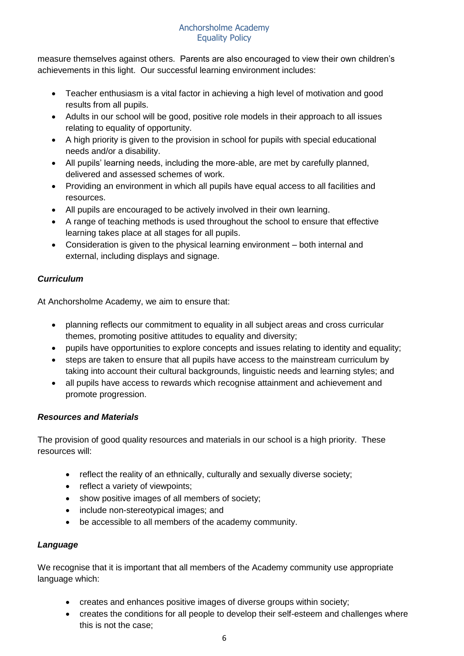measure themselves against others. Parents are also encouraged to view their own children's achievements in this light. Our successful learning environment includes:

- Teacher enthusiasm is a vital factor in achieving a high level of motivation and good results from all pupils.
- Adults in our school will be good, positive role models in their approach to all issues relating to equality of opportunity.
- A high priority is given to the provision in school for pupils with special educational needs and/or a disability.
- All pupils' learning needs, including the more-able, are met by carefully planned, delivered and assessed schemes of work.
- Providing an environment in which all pupils have equal access to all facilities and resources.
- All pupils are encouraged to be actively involved in their own learning.
- A range of teaching methods is used throughout the school to ensure that effective learning takes place at all stages for all pupils.
- Consideration is given to the physical learning environment both internal and external, including displays and signage.

# *Curriculum*

At Anchorsholme Academy, we aim to ensure that:

- planning reflects our commitment to equality in all subject areas and cross curricular themes, promoting positive attitudes to equality and diversity;
- pupils have opportunities to explore concepts and issues relating to identity and equality;
- steps are taken to ensure that all pupils have access to the mainstream curriculum by taking into account their cultural backgrounds, linguistic needs and learning styles; and
- all pupils have access to rewards which recognise attainment and achievement and promote progression.

# *Resources and Materials*

The provision of good quality resources and materials in our school is a high priority. These resources will:

- reflect the reality of an ethnically, culturally and sexually diverse society;
- reflect a variety of viewpoints;
- show positive images of all members of society;
- include non-stereotypical images; and
- be accessible to all members of the academy community.

# *Language*

We recognise that it is important that all members of the Academy community use appropriate language which:

- creates and enhances positive images of diverse groups within society;
- creates the conditions for all people to develop their self-esteem and challenges where this is not the case;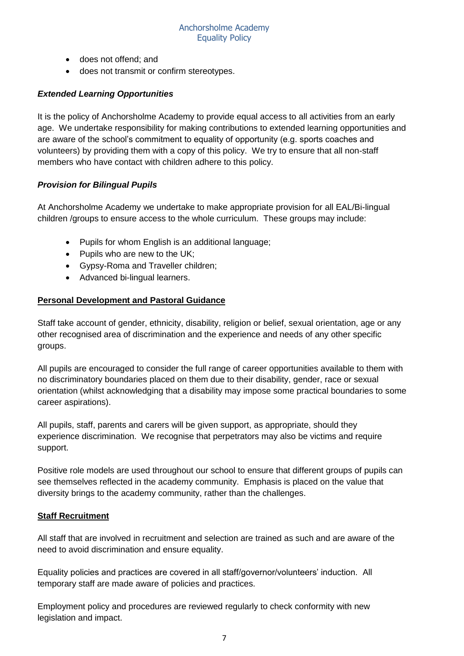- does not offend; and
- does not transmit or confirm stereotypes.

#### *Extended Learning Opportunities*

It is the policy of Anchorsholme Academy to provide equal access to all activities from an early age. We undertake responsibility for making contributions to extended learning opportunities and are aware of the school's commitment to equality of opportunity (e.g. sports coaches and volunteers) by providing them with a copy of this policy. We try to ensure that all non-staff members who have contact with children adhere to this policy.

#### *Provision for Bilingual Pupils*

At Anchorsholme Academy we undertake to make appropriate provision for all EAL/Bi-lingual children /groups to ensure access to the whole curriculum. These groups may include:

- Pupils for whom English is an additional language;
- Pupils who are new to the UK;
- Gypsy-Roma and Traveller children;
- Advanced bi-lingual learners.

#### **Personal Development and Pastoral Guidance**

Staff take account of gender, ethnicity, disability, religion or belief, sexual orientation, age or any other recognised area of discrimination and the experience and needs of any other specific groups.

All pupils are encouraged to consider the full range of career opportunities available to them with no discriminatory boundaries placed on them due to their disability, gender, race or sexual orientation (whilst acknowledging that a disability may impose some practical boundaries to some career aspirations).

All pupils, staff, parents and carers will be given support, as appropriate, should they experience discrimination. We recognise that perpetrators may also be victims and require support.

Positive role models are used throughout our school to ensure that different groups of pupils can see themselves reflected in the academy community. Emphasis is placed on the value that diversity brings to the academy community, rather than the challenges.

#### **Staff Recruitment**

All staff that are involved in recruitment and selection are trained as such and are aware of the need to avoid discrimination and ensure equality.

Equality policies and practices are covered in all staff/governor/volunteers' induction. All temporary staff are made aware of policies and practices.

Employment policy and procedures are reviewed regularly to check conformity with new legislation and impact.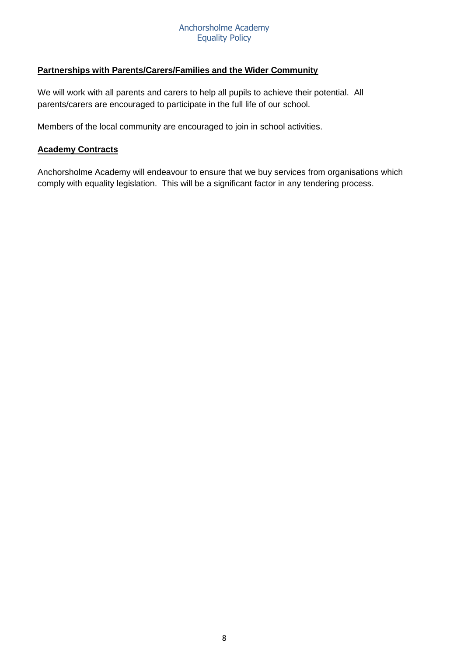#### Anchorsholme Academy Equality Policy

## **Partnerships with Parents/Carers/Families and the Wider Community**

We will work with all parents and carers to help all pupils to achieve their potential. All parents/carers are encouraged to participate in the full life of our school.

Members of the local community are encouraged to join in school activities.

#### **Academy Contracts**

Anchorsholme Academy will endeavour to ensure that we buy services from organisations which comply with equality legislation. This will be a significant factor in any tendering process.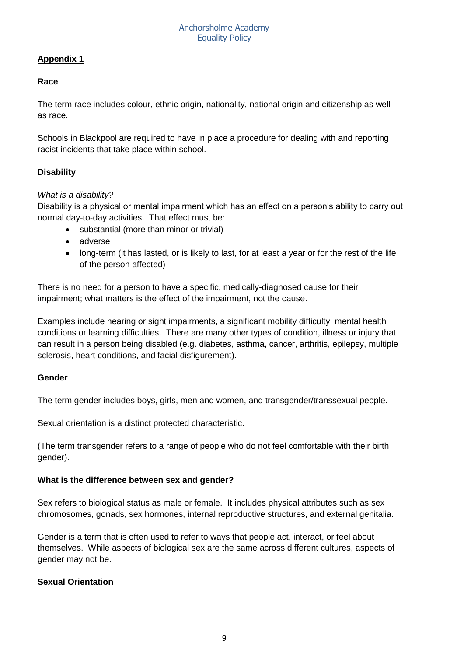# **Appendix 1**

#### **Race**

The term race includes colour, ethnic origin, nationality, national origin and citizenship as well as race.

Schools in Blackpool are required to have in place a procedure for dealing with and reporting racist incidents that take place within school.

## **Disability**

#### *What is a disability?*

Disability is a physical or mental impairment which has an effect on a person's ability to carry out normal day-to-day activities. That effect must be:

- substantial (more than minor or trivial)
- adverse
- long-term (it has lasted, or is likely to last, for at least a year or for the rest of the life of the person affected)

There is no need for a person to have a specific, medically-diagnosed cause for their impairment; what matters is the effect of the impairment, not the cause.

Examples include hearing or sight impairments, a significant mobility difficulty, mental health conditions or learning difficulties. There are many other types of condition, illness or injury that can result in a person being disabled (e.g. diabetes, asthma, cancer, arthritis, epilepsy, multiple sclerosis, heart conditions, and facial disfigurement).

#### **Gender**

The term gender includes boys, girls, men and women, and transgender/transsexual people.

Sexual orientation is a distinct protected characteristic.

(The term transgender refers to a range of people who do not feel comfortable with their birth gender).

#### **What is the difference between sex and gender?**

Sex refers to biological status as male or female. It includes physical attributes such as sex chromosomes, gonads, sex hormones, internal reproductive structures, and external genitalia.

Gender is a term that is often used to refer to ways that people act, interact, or feel about themselves. While aspects of biological sex are the same across different cultures, aspects of gender may not be.

## **Sexual Orientation**